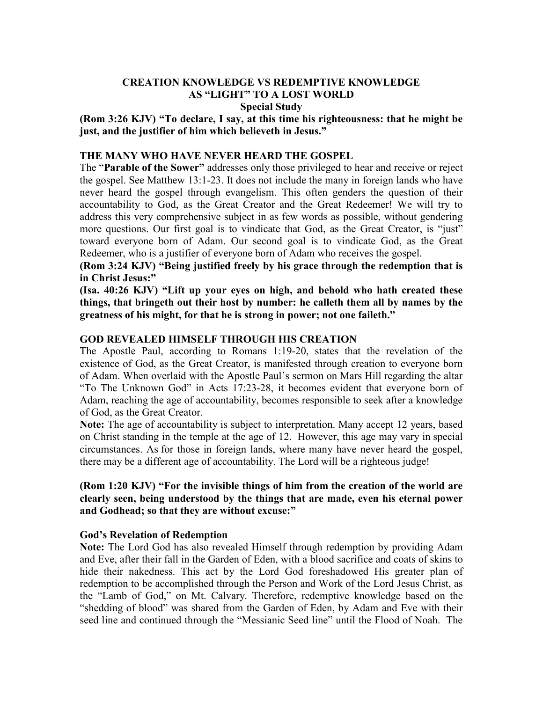### **CREATION KNOWLEDGE VS REDEMPTIVE KNOWLEDGE AS "LIGHT" TO A LOST WORLD Special Study**

**(Rom 3:26 KJV) "To declare, I say, at this time his righteousness: that he might be just, and the justifier of him which believeth in Jesus."**

### **THE MANY WHO HAVE NEVER HEARD THE GOSPEL**

The "**Parable of the Sower"** addresses only those privileged to hear and receive or reject the gospel. See Matthew 13:1-23. It does not include the many in foreign lands who have never heard the gospel through evangelism. This often genders the question of their accountability to God, as the Great Creator and the Great Redeemer! We will try to address this very comprehensive subject in as few words as possible, without gendering more questions. Our first goal is to vindicate that God, as the Great Creator, is "just" toward everyone born of Adam. Our second goal is to vindicate God, as the Great Redeemer, who is a justifier of everyone born of Adam who receives the gospel.

**(Rom 3:24 KJV) "Being justified freely by his grace through the redemption that is in Christ Jesus:"**

**(Isa. 40:26 KJV) "Lift up your eyes on high, and behold who hath created these things, that bringeth out their host by number: he calleth them all by names by the greatness of his might, for that he is strong in power; not one faileth."**

### **GOD REVEALED HIMSELF THROUGH HIS CREATION**

The Apostle Paul, according to Romans 1:19-20, states that the revelation of the existence of God, as the Great Creator, is manifested through creation to everyone born of Adam. When overlaid with the Apostle Paul's sermon on Mars Hill regarding the altar "To The Unknown God" in Acts 17:23-28, it becomes evident that everyone born of Adam, reaching the age of accountability, becomes responsible to seek after a knowledge of God, as the Great Creator.

**Note:** The age of accountability is subject to interpretation. Many accept 12 years, based on Christ standing in the temple at the age of 12. However, this age may vary in special circumstances. As for those in foreign lands, where many have never heard the gospel, there may be a different age of accountability. The Lord will be a righteous judge!

### **(Rom 1:20 KJV) "For the invisible things of him from the creation of the world are clearly seen, being understood by the things that are made, even his eternal power and Godhead; so that they are without excuse:"**

### **God's Revelation of Redemption**

**Note:** The Lord God has also revealed Himself through redemption by providing Adam and Eve, after their fall in the Garden of Eden, with a blood sacrifice and coats of skins to hide their nakedness. This act by the Lord God foreshadowed His greater plan of redemption to be accomplished through the Person and Work of the Lord Jesus Christ, as the "Lamb of God," on Mt. Calvary. Therefore, redemptive knowledge based on the "shedding of blood" was shared from the Garden of Eden, by Adam and Eve with their seed line and continued through the "Messianic Seed line" until the Flood of Noah. The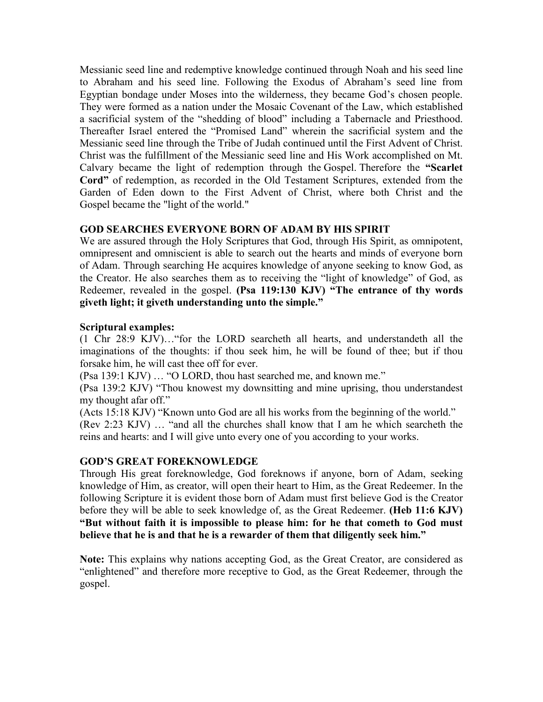Messianic seed line and redemptive knowledge continued through Noah and his seed line to Abraham and his seed line. Following the Exodus of Abraham's seed line from Egyptian bondage under Moses into the wilderness, they became God's chosen people. They were formed as a nation under the Mosaic Covenant of the Law, which established a sacrificial system of the "shedding of blood" including a Tabernacle and Priesthood. Thereafter Israel entered the "Promised Land" wherein the sacrificial system and the Messianic seed line through the Tribe of Judah continued until the First Advent of Christ. Christ was the fulfillment of the Messianic seed line and His Work accomplished on Mt. Calvary became the light of redemption through the Gospel. Therefore the **"Scarlet Cord"** of redemption, as recorded in the Old Testament Scriptures, extended from the Garden of Eden down to the First Advent of Christ, where both Christ and the Gospel became the "light of the world."

# **GOD SEARCHES EVERYONE BORN OF ADAM BY HIS SPIRIT**

We are assured through the Holy Scriptures that God, through His Spirit, as omnipotent, omnipresent and omniscient is able to search out the hearts and minds of everyone born of Adam. Through searching He acquires knowledge of anyone seeking to know God, as the Creator. He also searches them as to receiving the "light of knowledge" of God, as Redeemer, revealed in the gospel. **(Psa 119:130 KJV) "The entrance of thy words giveth light; it giveth understanding unto the simple."**

# **Scriptural examples:**

(1 Chr 28:9 KJV)…"for the LORD searcheth all hearts, and understandeth all the imaginations of the thoughts: if thou seek him, he will be found of thee; but if thou forsake him, he will cast thee off for ever.

(Psa 139:1 KJV) … "O LORD, thou hast searched me, and known me."

(Psa 139:2 KJV) "Thou knowest my downsitting and mine uprising, thou understandest my thought afar off."

(Acts 15:18 KJV) "Known unto God are all his works from the beginning of the world." (Rev 2:23 KJV) … "and all the churches shall know that I am he which searcheth the reins and hearts: and I will give unto every one of you according to your works.

# **GOD'S GREAT FOREKNOWLEDGE**

Through His great foreknowledge, God foreknows if anyone, born of Adam, seeking knowledge of Him, as creator, will open their heart to Him, as the Great Redeemer. In the following Scripture it is evident those born of Adam must first believe God is the Creator before they will be able to seek knowledge of, as the Great Redeemer. **(Heb 11:6 KJV) "But without faith it is impossible to please him: for he that cometh to God must believe that he is and that he is a rewarder of them that diligently seek him."**

**Note:** This explains why nations accepting God, as the Great Creator, are considered as "enlightened" and therefore more receptive to God, as the Great Redeemer, through the gospel.